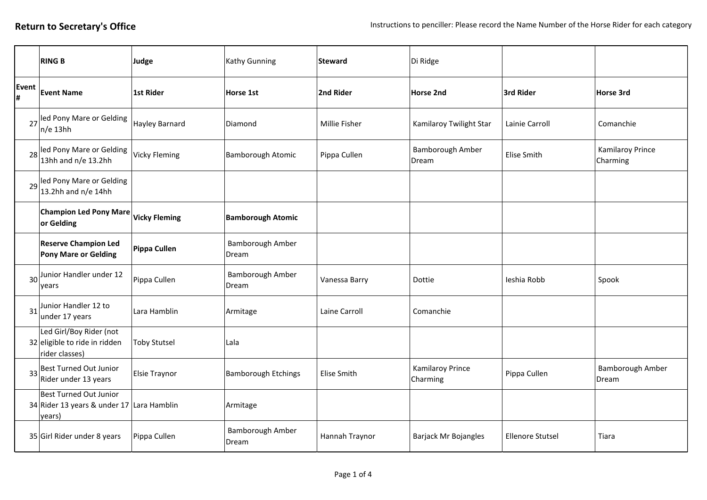|            | <b>RING B</b>                                                                        | Judge                | Kathy Gunning              | Steward            | Di Ridge                     |                         |                                     |
|------------|--------------------------------------------------------------------------------------|----------------------|----------------------------|--------------------|------------------------------|-------------------------|-------------------------------------|
| Event<br># | <b>Event Name</b>                                                                    | 1st Rider            | Horse 1st                  | 2nd Rider          | <b>Horse 2nd</b>             | 3rd Rider               | Horse 3rd                           |
|            | 27 led Pony Mare or Gelding<br>$n/e$ 13hh                                            | Hayley Barnard       | Diamond                    | Millie Fisher      | Kamilaroy Twilight Star      | Lainie Carroll          | Comanchie                           |
|            | 28 led Pony Mare or Gelding<br>13hh and n/e 13.2hh                                   | <b>Vicky Fleming</b> | <b>Bamborough Atomic</b>   | Pippa Cullen       | Bamborough Amber<br>Dream    | Elise Smith             | <b>Kamilaroy Prince</b><br>Charming |
|            | 29 led Pony Mare or Gelding<br>$13.2$ hh and n/e 14hh                                |                      |                            |                    |                              |                         |                                     |
|            | <b>Champion Led Pony Mare</b><br>or Gelding                                          | <b>Vicky Fleming</b> | <b>Bamborough Atomic</b>   |                    |                              |                         |                                     |
|            | <b>Reserve Champion Led</b><br><b>Pony Mare or Gelding</b>                           | Pippa Cullen         | Bamborough Amber<br>Dream  |                    |                              |                         |                                     |
|            | 30 Junior Handler under 12<br>vears                                                  | Pippa Cullen         | Bamborough Amber<br>Dream  | Vanessa Barry      | Dottie                       | Ieshia Robb             | Spook                               |
|            | 31 Junior Handler 12 to<br>under 17 years                                            | Lara Hamblin         | Armitage                   | Laine Carroll      | Comanchie                    |                         |                                     |
|            | Led Girl/Boy Rider (not<br>32 eligible to ride in ridden<br>rider classes)           | <b>Toby Stutsel</b>  | Lala                       |                    |                              |                         |                                     |
| 33         | Best Turned Out Junior<br>Rider under 13 years                                       | <b>Elsie Traynor</b> | <b>Bamborough Etchings</b> | <b>Elise Smith</b> | Kamilaroy Prince<br>Charming | Pippa Cullen            | Bamborough Amber<br>Dream           |
|            | <b>Best Turned Out Junior</b><br>34 Rider 13 years & under 17 Lara Hamblin<br>years) |                      | Armitage                   |                    |                              |                         |                                     |
|            | 35 Girl Rider under 8 years                                                          | Pippa Cullen         | Bamborough Amber<br>Dream  | Hannah Traynor     | Barjack Mr Bojangles         | <b>Ellenore Stutsel</b> | Tiara                               |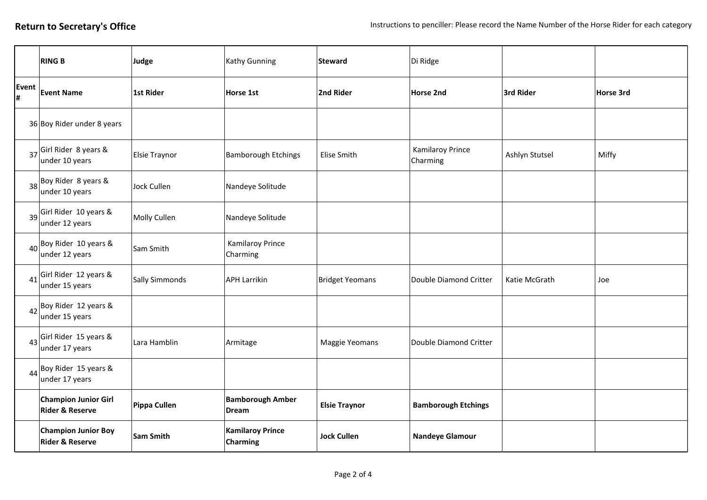|                 | <b>RING B</b>                                              | Judge                | Kathy Gunning                              | Steward                | Di Ridge                            |                |           |
|-----------------|------------------------------------------------------------|----------------------|--------------------------------------------|------------------------|-------------------------------------|----------------|-----------|
| Event<br>l#     | <b>Event Name</b>                                          | <b>1st Rider</b>     | Horse 1st                                  | 2nd Rider              | <b>Horse 2nd</b>                    | 3rd Rider      | Horse 3rd |
|                 | 36 Boy Rider under 8 years                                 |                      |                                            |                        |                                     |                |           |
| 37              | Girl Rider 8 years &<br>under 10 years                     | <b>Elsie Traynor</b> | <b>Bamborough Etchings</b>                 | Elise Smith            | <b>Kamilaroy Prince</b><br>Charming | Ashlyn Stutsel | Miffy     |
|                 | $38$ Boy Rider 8 years &<br>under 10 years                 | Jock Cullen          | Nandeye Solitude                           |                        |                                     |                |           |
| 39              | Girl Rider 10 years &<br>under 12 years                    | Molly Cullen         | Nandeye Solitude                           |                        |                                     |                |           |
| 40 <sup>1</sup> | Boy Rider 10 years &<br>under 12 years                     | Sam Smith            | <b>Kamilaroy Prince</b><br>Charming        |                        |                                     |                |           |
| 41              | Girl Rider 12 years &<br>under 15 years                    | Sally Simmonds       | <b>APH Larrikin</b>                        | <b>Bridget Yeomans</b> | Double Diamond Critter              | Katie McGrath  | Joe       |
|                 | $42$ <sup>Boy Rider 12 years &amp;</sup><br>under 15 years |                      |                                            |                        |                                     |                |           |
| 43              | Girl Rider 15 years &<br>under 17 years                    | Lara Hamblin         | Armitage                                   | Maggie Yeomans         | Double Diamond Critter              |                |           |
|                 | $44$ <sup>Boy Rider 15 years &amp;</sup><br>under 17 years |                      |                                            |                        |                                     |                |           |
|                 | <b>Champion Junior Girl</b><br><b>Rider &amp; Reserve</b>  | Pippa Cullen         | <b>Bamborough Amber</b><br>Dream           | <b>Elsie Traynor</b>   | <b>Bamborough Etchings</b>          |                |           |
|                 | <b>Champion Junior Boy</b><br><b>Rider &amp; Reserve</b>   | <b>Sam Smith</b>     | <b>Kamilaroy Prince</b><br><b>Charming</b> | <b>Jock Cullen</b>     | <b>Nandeye Glamour</b>              |                |           |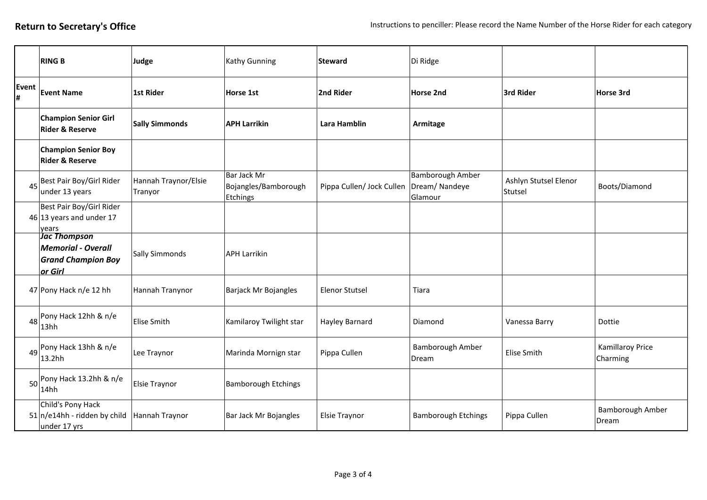|            | <b>RING B</b>                                                                     | Judge                           | Kathy Gunning                                   | <b>Steward</b>            | Di Ridge                                            |                                  |                                     |
|------------|-----------------------------------------------------------------------------------|---------------------------------|-------------------------------------------------|---------------------------|-----------------------------------------------------|----------------------------------|-------------------------------------|
| Event<br># | <b>Event Name</b>                                                                 | <b>1st Rider</b>                | Horse 1st                                       | 2nd Rider                 | <b>Horse 2nd</b>                                    | 3rd Rider                        | Horse 3rd                           |
|            | <b>Champion Senior Girl</b><br><b>Rider &amp; Reserve</b>                         | <b>Sally Simmonds</b>           | <b>APH Larrikin</b>                             | Lara Hamblin              | Armitage                                            |                                  |                                     |
|            | <b>Champion Senior Boy</b><br><b>Rider &amp; Reserve</b>                          |                                 |                                                 |                           |                                                     |                                  |                                     |
|            | 45 Best Pair Boy/Girl Rider<br>under 13 years                                     | Hannah Traynor/Elsie<br>Tranyor | Bar Jack Mr<br>Bojangles/Bamborough<br>Etchings | Pippa Cullen/ Jock Cullen | <b>Bamborough Amber</b><br>Dream/Nandeye<br>Glamour | Ashlyn Stutsel Elenor<br>Stutsel | Boots/Diamond                       |
|            | Best Pair Boy/Girl Rider<br>$46$ 13 years and under 17<br>vears                   |                                 |                                                 |                           |                                                     |                                  |                                     |
|            | Jac Thompson<br><b>Memorial - Overall</b><br><b>Grand Champion Boy</b><br>or Girl | <b>Sally Simmonds</b>           | <b>APH Larrikin</b>                             |                           |                                                     |                                  |                                     |
|            | 47 Pony Hack n/e 12 hh                                                            | Hannah Tranynor                 | Barjack Mr Bojangles                            | <b>Elenor Stutsel</b>     | Tiara                                               |                                  |                                     |
|            | 48 Pony Hack 12hh & n/e<br>13hh                                                   | <b>Elise Smith</b>              | Kamilaroy Twilight star                         | Hayley Barnard            | Diamond                                             | Vanessa Barry                    | Dottie                              |
|            | $\frac{1}{49}$ Pony Hack 13hh & n/e<br>13.2hh                                     | Lee Traynor                     | Marinda Mornign star                            | Pippa Cullen              | Bamborough Amber<br>Dream                           | Elise Smith                      | <b>Kamillaroy Price</b><br>Charming |
|            | $50^{[Pony \text{ Hack } 13.2 \text{hh } 8 \text{ n/e}]}$<br>14hh                 | <b>Elsie Traynor</b>            | <b>Bamborough Etchings</b>                      |                           |                                                     |                                  |                                     |
|            | Child's Pony Hack<br>$51 n/e14hh$ - ridden by child<br>under 17 yrs               | Hannah Traynor                  | Bar Jack Mr Bojangles                           | <b>Elsie Traynor</b>      | <b>Bamborough Etchings</b>                          | Pippa Cullen                     | Bamborough Amber<br>Dream           |